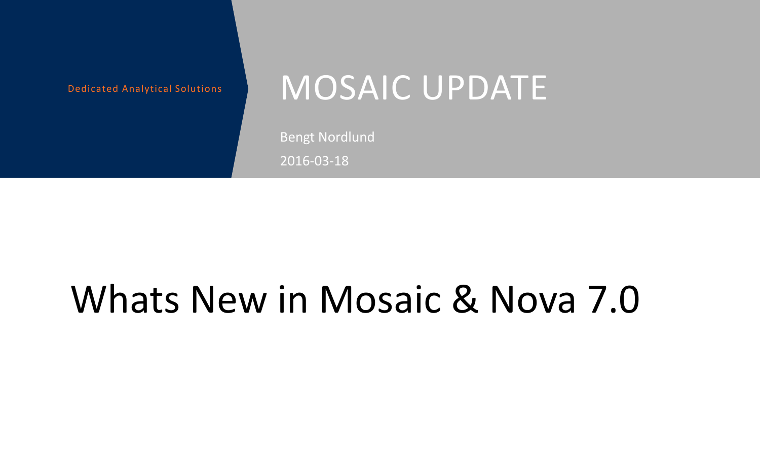### Dedicated Analytical Solutions MOSAIC UPDATE

Bengt Nordlund 2016-03-18

# Whats New in Mosaic & Nova 7.0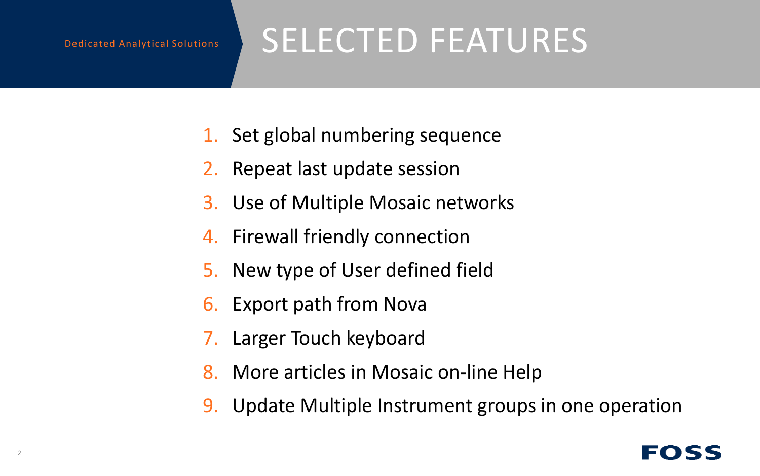## SELECTED FEATURES

- 1. Set global numbering sequence
- 2. Repeat last update session
- 3. Use of Multiple Mosaic networks
- 4. Firewall friendly connection
- 5. New type of User defined field
- 6. Export path from Nova
- 7. Larger Touch keyboard
- 8. More articles in Mosaic on-line Help
- 9. Update Multiple Instrument groups in one operation

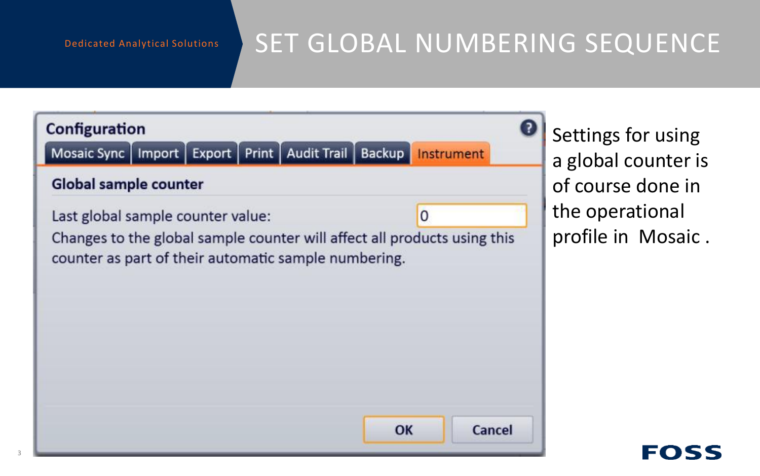### SET GLOBAL NUMBERING SEQUENCE



Settings for using a global counter is of course done in the operational profile in Mosaic .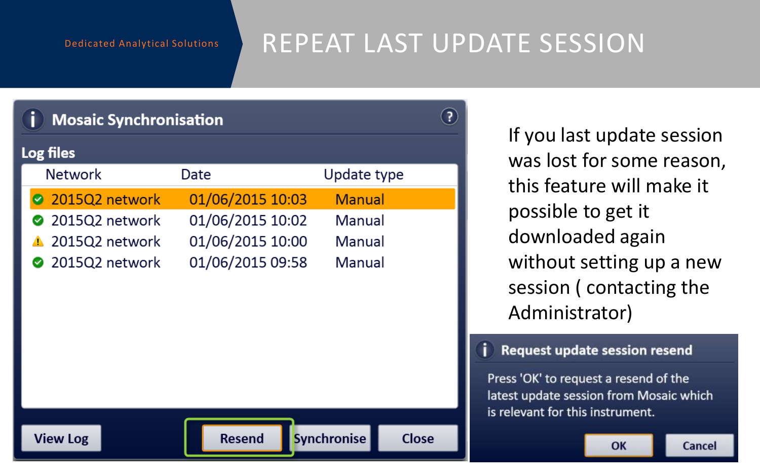### REPEAT LAST UPDATE SESSION

Ħ

| <b>Mosaic Synchronisation</b> |                  |                                    |  |
|-------------------------------|------------------|------------------------------------|--|
| Log files                     |                  |                                    |  |
| <b>Network</b>                | Date             | Update type                        |  |
| 2015Q2 network                | 01/06/2015 10:03 | <b>Manual</b>                      |  |
| 2015Q2 network                | 01/06/2015 10:02 | Manual                             |  |
| 2015Q2 network                | 01/06/2015 10:00 | Manual                             |  |
| 2015Q2 network                | 01/06/2015 09:58 | Manual                             |  |
|                               |                  |                                    |  |
|                               |                  |                                    |  |
|                               |                  |                                    |  |
|                               |                  |                                    |  |
|                               |                  |                                    |  |
|                               |                  |                                    |  |
|                               |                  |                                    |  |
| <b>View Log</b>               | <b>Resend</b>    | <b>Close</b><br><b>Synchronise</b> |  |

If you last update session was lost for some reason, this feature will make it possible to get it downloaded again without setting up a new session ( contacting the Administrator)

#### Request update session resend

Press 'OK' to request a resend of the latest update session from Mosaic which is relevant for this instrument.

OK

Cancel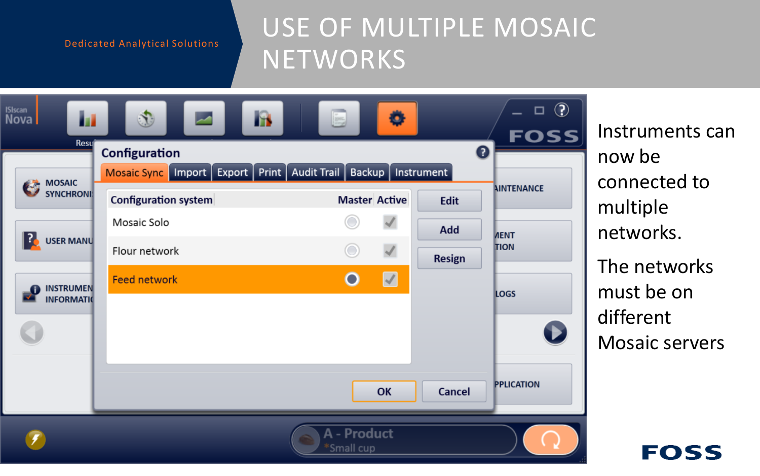### USE OF MULTIPLE MOSAIC **NETWORKS**

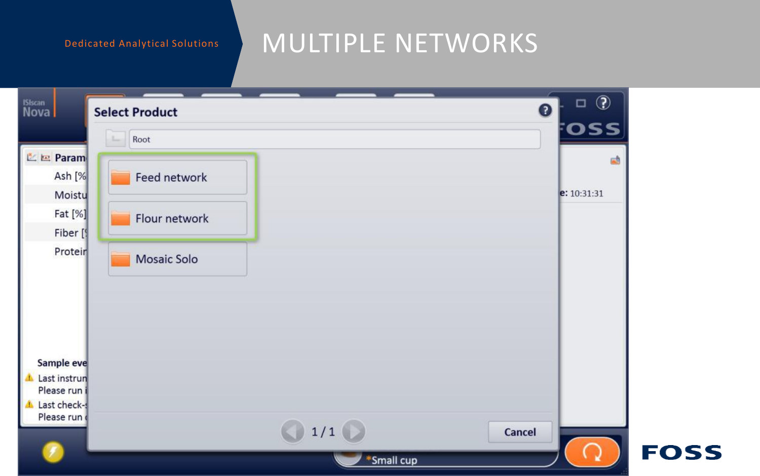### MULTIPLE NETWORKS

| <b>ISIscan</b><br>Nova              | $\circledcirc$<br>$\Box$<br>$\bullet$<br><b>Select Product</b> |             |
|-------------------------------------|----------------------------------------------------------------|-------------|
|                                     | <b>OSS</b><br>Root<br>$\sim$                                   |             |
| <b>图 Param</b><br>Ash [%]<br>Moistu | 鹂<br>Feed network<br>e: 10:31:31                               |             |
| Fat [%]<br>Fiber [9]                | Flour network                                                  |             |
| Proteir                             | Mosaic Solo                                                    |             |
|                                     |                                                                |             |
| Sample eve                          |                                                                |             |
| Last instrun<br>Please run i        |                                                                |             |
| Last check-<br>Please run           | 1/1<br><b>Cancel</b>                                           |             |
|                                     | *Small cup                                                     | <b>FOSS</b> |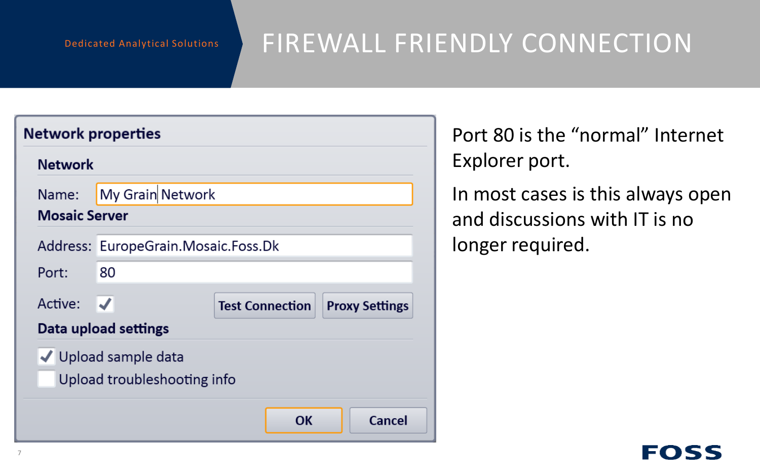### FIREWALL FRIENDLY CONNECTION

| <b>Network properties</b> |                                                     |                        |                       |  |  |
|---------------------------|-----------------------------------------------------|------------------------|-----------------------|--|--|
| <b>Network</b>            |                                                     |                        |                       |  |  |
| Name:                     | My Grain Network                                    |                        |                       |  |  |
| <b>Mosaic Server</b>      |                                                     |                        |                       |  |  |
|                           | Address: EuropeGrain.Mosaic.Foss.Dk                 |                        |                       |  |  |
| Port:                     | 80                                                  |                        |                       |  |  |
| Active: $\sqrt{}$         |                                                     | <b>Test Connection</b> | <b>Proxy Settings</b> |  |  |
| Data upload settings      |                                                     |                        |                       |  |  |
|                           | √ Upload sample data<br>Upload troubleshooting info |                        |                       |  |  |
|                           |                                                     | OK                     | Cancel                |  |  |

Port 80 is the "normal" Internet Explorer port.

In most cases is this always open and discussions with IT is no longer required.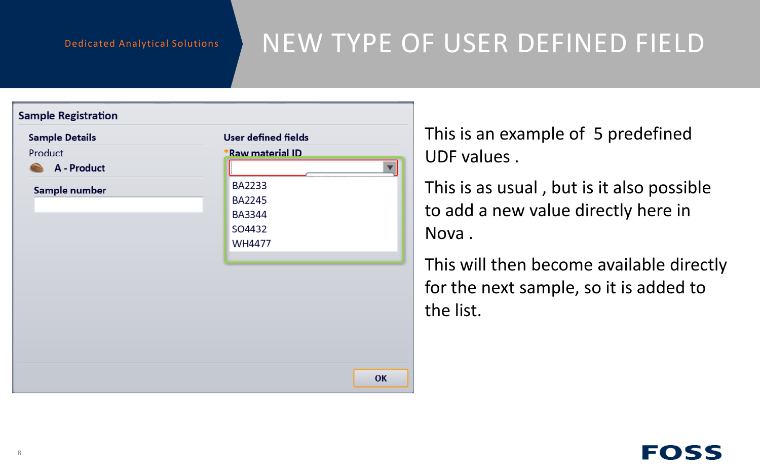### NEW TYPE OF USER DEFINED FIELD

| <b>Sample Registration</b> |                            |
|----------------------------|----------------------------|
| <b>Sample Details</b>      | <b>User defined fields</b> |
| Product                    | <b>*Raw material ID</b>    |
| A - Product                | $\overline{\mathbf{v}}$    |
| Sample number              | <b>BA2233</b>              |
|                            | <b>BA2245</b>              |
|                            | <b>BA3344</b>              |
|                            | SO4432                     |
|                            | <b>WH4477</b>              |
|                            |                            |
|                            |                            |
|                            |                            |
|                            |                            |
|                            |                            |
|                            |                            |
|                            |                            |
|                            |                            |
|                            | OK                         |

This is an example of 5 predefined UDF values .

This is as usual , but is it also possible to add a new value directly here in Nova .

This will then become available directly for the next sample, so it is added to the list.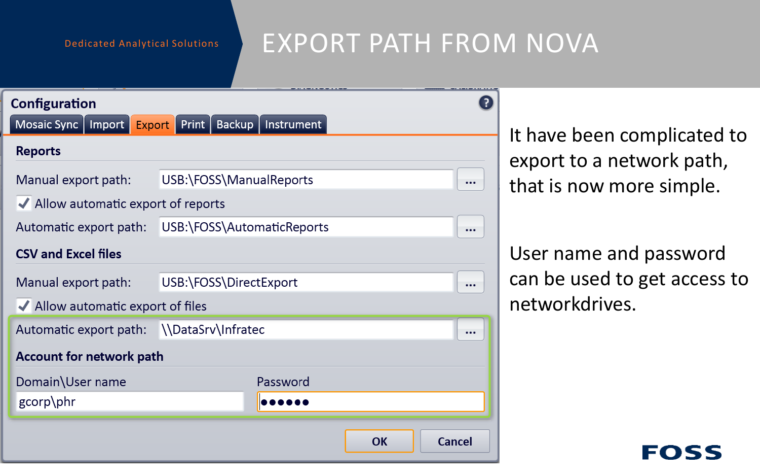### EXPORT PATH FROM NOVA

| Configuration<br>Mosaic Sync   Import                | <b>Export</b> Print   Backup   Instrument |          |    |               |  |  |  |
|------------------------------------------------------|-------------------------------------------|----------|----|---------------|--|--|--|
| <b>Reports</b>                                       |                                           |          |    |               |  |  |  |
| USB:\FOSS\ManualReports<br>Manual export path:       |                                           |          |    |               |  |  |  |
| ◆ Allow automatic export of reports                  |                                           |          |    |               |  |  |  |
| USB:\FOSS\AutomaticReports<br>Automatic export path: |                                           |          |    |               |  |  |  |
| <b>CSV and Excel files</b>                           |                                           |          |    |               |  |  |  |
| Manual export path:                                  | USB:\FOSS\DirectExport                    |          |    |               |  |  |  |
| ◆ Allow automatic export of files                    |                                           |          |    |               |  |  |  |
| Automatic export path: \\DataSrv\Infratec            |                                           |          |    |               |  |  |  |
| <b>Account for network path</b>                      |                                           |          |    |               |  |  |  |
| Domain\User name                                     |                                           | Password |    |               |  |  |  |
| gcorp\phr                                            |                                           |          |    |               |  |  |  |
|                                                      |                                           |          | OK | <b>Cancel</b> |  |  |  |

It have been complicated to export to a network path, that is now more simple.

User name and password can be used to get access to networkdrives.

EOSS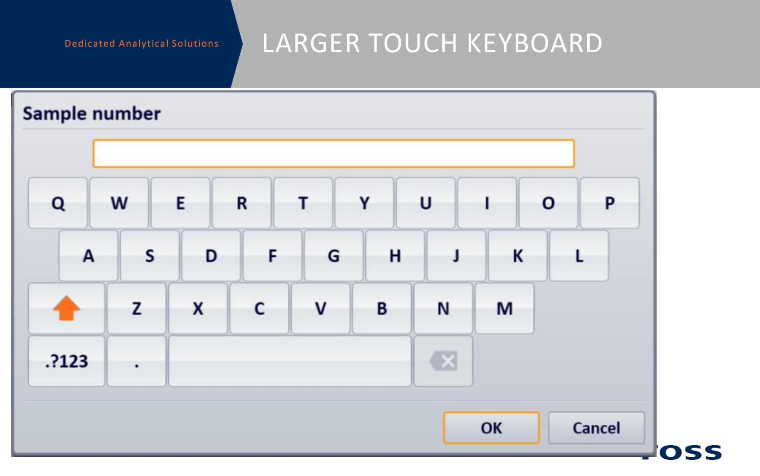### LARGER TOUCH KEYBOARD

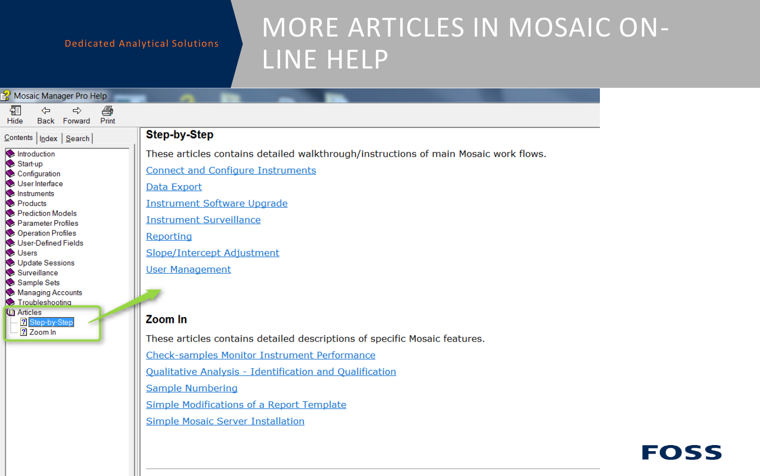### MORE ARTICLES IN MOSAIC ON-LINE HELP

| Mosaic Manager Pro Help                                                                                                                                                                                                                          |                                                                                                                                                                                                                                                                                                               |
|--------------------------------------------------------------------------------------------------------------------------------------------------------------------------------------------------------------------------------------------------|---------------------------------------------------------------------------------------------------------------------------------------------------------------------------------------------------------------------------------------------------------------------------------------------------------------|
| 羀<br>é<br>⇦<br>$\Rightarrow$<br>Back Forward<br>Print<br>Hide                                                                                                                                                                                    |                                                                                                                                                                                                                                                                                                               |
| $\frac{ \text{Contents}}{ \text{Index}}$   Search                                                                                                                                                                                                | <b>Step-by-Step</b>                                                                                                                                                                                                                                                                                           |
| Introduction<br>Start-up<br>Configuration<br>User Interface<br>Instruments<br>Products<br>Prediction Models<br>Parameter Profiles<br>Operation Profiles<br>User-Defined Fields<br><b>Users</b><br>Update Sessions<br>Surveillance<br>Sample Sets | These articles contains detailed walkthrough/instructions of main Mosaic work flows.<br><b>Connect and Configure Instruments</b><br>Data Export<br><b>Instrument Software Upgrade</b><br><b>Instrument Surveillance</b><br>Reporting<br>Slope/Intercept Adjustment<br><b>User Management</b>                  |
| Managing Accounts<br>Troubleshooting<br><b>La</b> Articles<br><b>R</b> Step-by-Step<br>2 Zoom In                                                                                                                                                 | Zoom In<br>These articles contains detailed descriptions of specific Mosaic features.<br>Check-samples Monitor Instrument Performance<br>Qualitative Analysis - Identification and Qualification<br>Sample Numbering<br><b>Simple Modifications of a Report Template</b><br>Simple Mosaic Server Installation |

### **FOSS**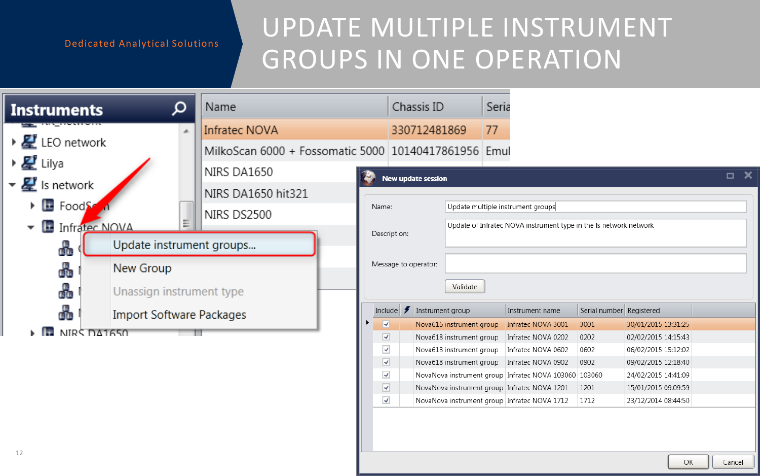### UPDATE MULTIPLE INSTRUMENT GROUPS IN ONE OPERATION

| α<br><b>Instruments</b>                | Name                                                 |                            | Chassis ID           | Seria                    |                                                                   |                          |                     |                           |
|----------------------------------------|------------------------------------------------------|----------------------------|----------------------|--------------------------|-------------------------------------------------------------------|--------------------------|---------------------|---------------------------|
| A.                                     | Infratec NOVA                                        |                            | 330712481869         | 77                       |                                                                   |                          |                     |                           |
| $\triangleright$ <b>LEO</b> network    | MilkoScan 6000 + Fossomatic 5000 10140417861956 Emul |                            |                      |                          |                                                                   |                          |                     |                           |
| ▶ 星 Lilya                              | NIRS DA1650                                          |                            |                      |                          |                                                                   |                          |                     | $\overline{\blacksquare}$ |
| $\triangledown \mathbf{E}$ is network  |                                                      |                            | New update session   |                          |                                                                   |                          |                     |                           |
| $\triangleright$ $\blacksquare$ Foods: | NIRS DA1650 hit321                                   |                            |                      |                          |                                                                   |                          |                     |                           |
|                                        | NIRS DS2500                                          | Name:                      |                      |                          | Update multiple instrument groups                                 |                          |                     |                           |
| Ξ<br>Infratec NOVA                     |                                                      | Description:               |                      |                          | Update of Infratec NOVA instrument type in the Is network network |                          |                     |                           |
| Update instrument groups<br>₩          |                                                      |                            |                      |                          |                                                                   |                          |                     |                           |
| New Group                              |                                                      |                            | Message to operator: |                          |                                                                   |                          |                     |                           |
| æ                                      |                                                      |                            |                      |                          |                                                                   |                          |                     |                           |
| ₩<br>Unassign instrument type          |                                                      |                            |                      | Validate                 |                                                                   |                          |                     |                           |
| 品<br><b>Import Software Packages</b>   |                                                      | Include $\bigtriangledown$ | Instrument group     |                          | Instrument name                                                   | Serial number Registered |                     |                           |
|                                        |                                                      | V                          |                      | Nova616 instrument group | Infratec NOVA 3001                                                | 3001                     | 30/01/2015 13:31:25 |                           |
| NIRS DA1650                            |                                                      | ⊽                          |                      | Nova618 instrument group | Infratec NOVA 0202                                                | 0202                     | 02/02/2015 14:15:43 |                           |
|                                        |                                                      | $\blacktriangledown$       |                      | Nova618 instrument group | Infratec NOVA 0602                                                | 0602                     | 06/02/2015 15:12:02 |                           |
|                                        |                                                      | $\overline{\mathcal{L}}$   |                      | Nova618 instrument group | Infratec NOVA 0902                                                | 0902                     | 09/02/2015 12:18:40 |                           |
|                                        |                                                      | $\blacktriangledown$       |                      |                          | NovaNova instrument group Infratec NOVA 103060 103060             |                          | 24/02/2015 14:41:09 |                           |
|                                        |                                                      | $\overline{\mathbf{v}}$    |                      |                          | NovaNova instrument group Infratec NOVA 1201                      | 1201                     | 15/01/2015 09:09:59 |                           |
|                                        |                                                      | $\overline{\mathcal{A}}$   |                      |                          | NovaNova instrument group Infratec NOVA 1712                      | 1712                     | 23/12/2014 08:44:50 |                           |
| 12                                     |                                                      |                            |                      |                          |                                                                   |                          | OK                  | Cancel                    |